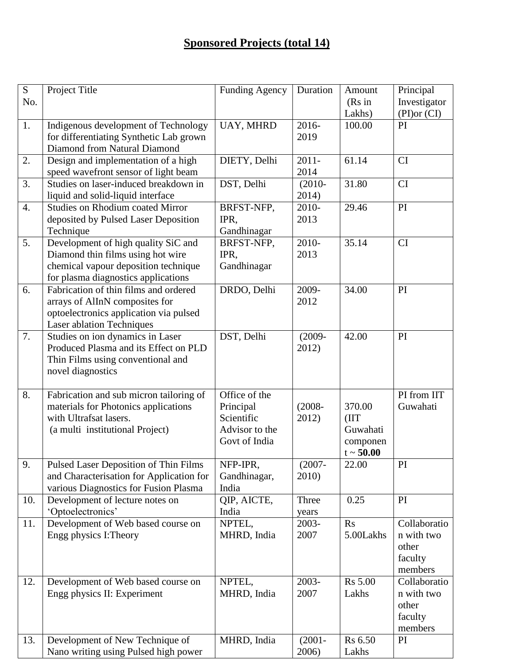## **Sponsored Projects (total 14)**

| S                | Project Title                            | Funding Agency | Duration  | Amount         | Principal    |
|------------------|------------------------------------------|----------------|-----------|----------------|--------------|
| No.              |                                          |                |           | (Rs in         | Investigator |
|                  |                                          |                |           | Lakhs)         | (PI) or (CI) |
| 1.               | Indigenous development of Technology     | UAY, MHRD      | 2016-     | 100.00         | PI           |
|                  | for differentiating Synthetic Lab grown  |                | 2019      |                |              |
|                  | Diamond from Natural Diamond             |                |           |                |              |
| 2.               | Design and implementation of a high      | DIETY, Delhi   | $2011 -$  | 61.14          | <b>CI</b>    |
|                  | speed wavefront sensor of light beam     |                | 2014      |                |              |
| 3.               | Studies on laser-induced breakdown in    | DST, Delhi     |           | 31.80          | <b>CI</b>    |
|                  |                                          |                | $(2010 -$ |                |              |
|                  | liquid and solid-liquid interface        |                | 2014)     |                |              |
| $\overline{4}$ . | <b>Studies on Rhodium coated Mirror</b>  | BRFST-NFP,     | 2010-     | 29.46          | PI           |
|                  | deposited by Pulsed Laser Deposition     | IPR,           | 2013      |                |              |
|                  | Technique                                | Gandhinagar    |           |                |              |
| 5.               | Development of high quality SiC and      | BRFST-NFP,     | 2010-     | 35.14          | <b>CI</b>    |
|                  | Diamond thin films using hot wire        | IPR,           | 2013      |                |              |
|                  | chemical vapour deposition technique     | Gandhinagar    |           |                |              |
|                  | for plasma diagnostics applications      |                |           |                |              |
| 6.               | Fabrication of thin films and ordered    | DRDO, Delhi    | 2009-     | 34.00          | PI           |
|                  | arrays of AlInN composites for           |                | 2012      |                |              |
|                  | optoelectronics application via pulsed   |                |           |                |              |
|                  | <b>Laser ablation Techniques</b>         |                |           |                |              |
| 7.               | Studies on ion dynamics in Laser         | DST, Delhi     | $(2009 -$ | 42.00          | PI           |
|                  | Produced Plasma and its Effect on PLD    |                | 2012)     |                |              |
|                  | Thin Films using conventional and        |                |           |                |              |
|                  | novel diagnostics                        |                |           |                |              |
|                  |                                          |                |           |                |              |
| 8.               | Fabrication and sub micron tailoring of  | Office of the  |           |                | PI from IIT  |
|                  | materials for Photonics applications     | Principal      | $(2008 -$ | 370.00         | Guwahati     |
|                  | with Ultrafsat lasers.                   | Scientific     | 2012)     | (III)          |              |
|                  | (a multi institutional Project)          | Advisor to the |           | Guwahati       |              |
|                  |                                          | Govt of India  |           | componen       |              |
|                  |                                          |                |           | $t \sim 50.00$ |              |
| 9.               | Pulsed Laser Deposition of Thin Films    | NFP-IPR,       | $(2007 -$ | 22.00          | PI           |
|                  | and Characterisation for Application for | Gandhinagar,   | 2010)     |                |              |
|                  | various Diagnostics for Fusion Plasma    | India          |           |                |              |
| 10.              | Development of lecture notes on          | QIP, AICTE,    | Three     | 0.25           | PI           |
|                  | 'Optoelectronics'                        | India          | years     |                |              |
| 11.              | Development of Web based course on       | NPTEL,         | 2003-     | Rs             | Collaboratio |
|                  | Engg physics I: Theory                   | MHRD, India    | 2007      | 5.00Lakhs      | n with two   |
|                  |                                          |                |           |                | other        |
|                  |                                          |                |           |                | faculty      |
|                  |                                          |                |           |                | members      |
| 12.              | Development of Web based course on       | NPTEL,         | 2003-     | <b>Rs 5.00</b> | Collaboratio |
|                  | Engg physics II: Experiment              | MHRD, India    | 2007      | Lakhs          | n with two   |
|                  |                                          |                |           |                | other        |
|                  |                                          |                |           |                | faculty      |
|                  |                                          |                |           |                | members      |
| 13.              | Development of New Technique of          | MHRD, India    | $(2001 -$ | Rs 6.50        | PI           |
|                  | Nano writing using Pulsed high power     |                | 2006)     | Lakhs          |              |